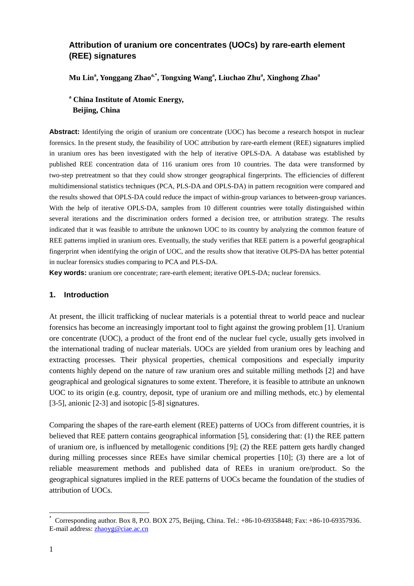# **Attribution of uranium ore concentrates (UOCs) by rare-earth element (REE) signatures**

**Mu Lin<sup>a</sup> , Yonggang Zhaoa,\* , Tongxing Wang<sup>a</sup> , Liuchao Zhu<sup>a</sup> , Xinghong Zhao<sup>a</sup>**

# **<sup>a</sup> China Institute of Atomic Energy, Beijing, China**

Abstract: Identifying the origin of uranium ore concentrate (UOC) has become a research hotspot in nuclear forensics. In the present study, the feasibility of UOC attribution by rare-earth element (REE) signatures implied in uranium ores has been investigated with the help of iterative OPLS-DA. A database was established by published REE concentration data of 116 uranium ores from 10 countries. The data were transformed by two-step pretreatment so that they could show stronger geographical fingerprints. The efficiencies of different multidimensional statistics techniques (PCA, PLS-DA and OPLS-DA) in pattern recognition were compared and the results showed that OPLS-DA could reduce the impact of within-group variances to between-group variances. With the help of iterative OPLS-DA, samples from 10 different countries were totally distinguished within several iterations and the discrimination orders formed a decision tree, or attribution strategy. The results indicated that it was feasible to attribute the unknown UOC to its country by analyzing the common feature of REE patterns implied in uranium ores. Eventually, the study verifies that REE pattern is a powerful geographical fingerprint when identifying the origin of UOC, and the results show that iterative OLPS-DA has better potential in nuclear forensics studies comparing to PCA and PLS-DA.

**Key words:** uranium ore concentrate; rare-earth element; iterative OPLS-DA; nuclear forensics.

# **1. Introduction**

At present, the illicit trafficking of nuclear materials is a potential threat to world peace and nuclear forensics has become an increasingly important tool to fight against the growing problem [1]. Uranium ore concentrate (UOC), a product of the front end of the nuclear fuel cycle, usually gets involved in the international trading of nuclear materials. UOCs are yielded from uranium ores by leaching and extracting processes. Their physical properties, chemical compositions and especially impurity contents highly depend on the nature of raw uranium ores and suitable milling methods [2] and have geographical and geological signatures to some extent. Therefore, it is feasible to attribute an unknown UOC to its origin (e.g. country, deposit, type of uranium ore and milling methods, etc.) by elemental [3-5], anionic [2-3] and isotopic [5-8] signatures.

Comparing the shapes of the rare-earth element (REE) patterns of UOCs from different countries, it is believed that REE pattern contains geographical information [5], considering that: (1) the REE pattern of uranium ore, is influenced by metallogenic conditions [9]; (2) the REE pattern gets hardly changed during milling processes since REEs have similar chemical properties [10]; (3) there are a lot of reliable measurement methods and published data of REEs in uranium ore/product. So the geographical signatures implied in the REE patterns of UOCs became the foundation of the studies of attribution of UOCs.

 $\overline{\phantom{a}}$ 

<sup>\*</sup> Corresponding author. Box 8, P.O. BOX 275, Beijing, China. Tel.: +86-10-69358448; Fax: +86-10-69357936. E-mail address: [zhaoyg@ciae.ac.cn](mailto:zhaoyg@ciae.ac.cn)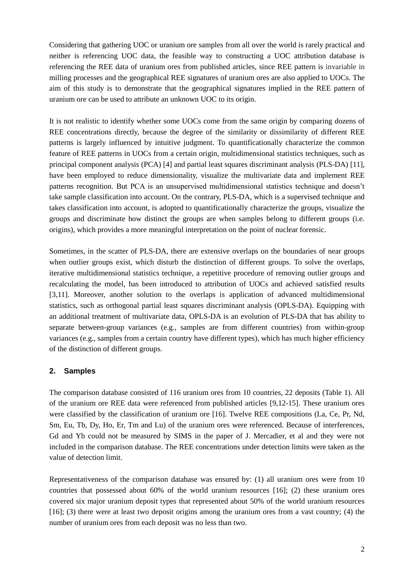Considering that gathering UOC or uranium ore samples from all over the world is rarely practical and neither is referencing UOC data, the feasible way to constructing a UOC attribution database is referencing the REE data of uranium ores from published articles, since REE pattern is invariable in milling processes and the geographical REE signatures of uranium ores are also applied to UOCs. The aim of this study is to demonstrate that the geographical signatures implied in the REE pattern of uranium ore can be used to attribute an unknown UOC to its origin.

It is not realistic to identify whether some UOCs come from the same origin by comparing dozens of REE concentrations directly, because the degree of the similarity or dissimilarity of different REE patterns is largely influenced by intuitive judgment. To quantificationally characterize the common feature of REE patterns in UOCs from a certain origin, multidimensional statistics techniques, such as principal component analysis (PCA) [4] and partial least squares discriminant analysis (PLS-DA) [11], have been employed to reduce dimensionality, visualize the multivariate data and implement REE patterns recognition. But PCA is an unsupervised multidimensional statistics technique and doesn't take sample classification into account. On the contrary, PLS-DA, which is a supervised technique and takes classification into account, is adopted to quantificationally characterize the groups, visualize the groups and discriminate how distinct the groups are when samples belong to different groups (i.e. origins), which provides a more meaningful interpretation on the point of nuclear forensic.

Sometimes, in the scatter of PLS-DA, there are extensive overlaps on the boundaries of near groups when outlier groups exist, which disturb the distinction of different groups. To solve the overlaps, iterative multidimensional statistics technique, a repetitive procedure of removing outlier groups and recalculating the model, has been introduced to attribution of UOCs and achieved satisfied results [3,11]. Moreover, another solution to the overlaps is application of advanced multidimensional statistics, such as orthogonal partial least squares discriminant analysis (OPLS-DA). Equipping with an additional treatment of multivariate data, OPLS-DA is an evolution of PLS-DA that has ability to separate between-group variances (e.g., samples are from different countries) from within-group variances (e.g., samples from a certain country have different types), which has much higher efficiency of the distinction of different groups.

# **2. Samples**

The comparison database consisted of 116 uranium ores from 10 countries, 22 deposits (Table 1). All of the uranium ore REE data were referenced from published articles [9,12-15]. These uranium ores were classified by the classification of uranium ore [16]. Twelve REE compositions (La, Ce, Pr, Nd, Sm, Eu, Tb, Dy, Ho, Er, Tm and Lu) of the uranium ores were referenced. Because of interferences, Gd and Yb could not be measured by SIMS in the paper of J. Mercadier, et al and they were not included in the comparison database. The REE concentrations under detection limits were taken as the value of detection limit.

Representativeness of the comparison database was ensured by: (1) all uranium ores were from 10 countries that possessed about 60% of the world uranium resources [16]; (2) these uranium ores covered six major uranium deposit types that represented about 50% of the world uranium resources [16]; (3) there were at least two deposit origins among the uranium ores from a vast country; (4) the number of uranium ores from each deposit was no less than two.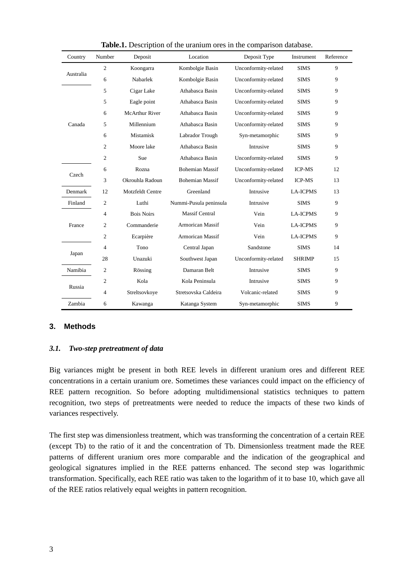| Country   | Number           | Deposit               | Location                | Deposit Type         | Instrument      | Reference |
|-----------|------------------|-----------------------|-------------------------|----------------------|-----------------|-----------|
| Australia | $\overline{2}$   | Koongarra             | Kombolgie Basin         | Unconformity-related | <b>SIMS</b>     | 9         |
|           | 6                | Nabarlek              | Kombolgie Basin         | Unconformity-related | <b>SIMS</b>     | 9         |
| Canada    | 5                | Cigar Lake            | Athabasca Basin         | Unconformity-related | <b>SIMS</b>     | 9         |
|           | 5                | Eagle point           | Athabasca Basin         | Unconformity-related | <b>SIMS</b>     | 9         |
|           | 6                | <b>McArthur River</b> | Athabasca Basin         | Unconformity-related | <b>SIMS</b>     | 9         |
|           | 5                | Millennium            | Athabasca Basin         | Unconformity-related | <b>SIMS</b>     | 9         |
|           | 6                | Mistamisk             | Labrador Trough         | Syn-metamorphic      | <b>SIMS</b>     | 9         |
|           | $\overline{c}$   | Moore lake            | Athabasca Basin         | Intrusive            | <b>SIMS</b>     | 9         |
|           | 2                | Sue                   | Athabasca Basin         | Unconformity-related | <b>SIMS</b>     | 9         |
| Czech     | 6                | Rozna                 | <b>Bohemian Massif</b>  | Unconformity-related | <b>ICP-MS</b>   | 12        |
|           | 3                | Okrouhla Radoun       | <b>Bohemian Massif</b>  | Unconformity-related | <b>ICP-MS</b>   | 13        |
| Denmark   | 12               | Motzfeldt Centre      | Greenland               | Intrusive            | <b>LA-ICPMS</b> | 13        |
| Finland   | 2                | Luthi                 | Nummi-Pusula peninsula  | Intrusive            | <b>SIMS</b>     | 9         |
| France    | 4                | <b>Bois Noirs</b>     | <b>Massif Central</b>   | Vein                 | <b>LA-ICPMS</b> | 9         |
|           | $\mathfrak{2}$   | Commanderie           | <b>Armorican Massif</b> | Vein                 | <b>LA-ICPMS</b> | 9         |
|           | 2                | Ecarpi ère            | <b>Armorican Massif</b> | Vein                 | <b>LA-ICPMS</b> | 9         |
| Japan     | 4                | Tono                  | Central Japan           | Sandstone            | <b>SIMS</b>     | 14        |
|           | 28               | Unazuki               | Southwest Japan         | Unconformity-related | <b>SHRIMP</b>   | 15        |
| Namibia   | $\boldsymbol{2}$ | R össing              | Damaran Belt            | Intrusive            | <b>SIMS</b>     | 9         |
| Russia    | $\overline{c}$   | Kola                  | Kola Peninsula          | Intrusive            | <b>SIMS</b>     | 9         |
|           | 4                | Streltsovkoye         | Stretsovska Caldeira    | Volcanic-related     | <b>SIMS</b>     | 9         |
| Zambia    | 6                | Kawanga               | Katanga System          | Syn-metamorphic      | <b>SIMS</b>     | 9         |

**Table.1.** Description of the uranium ores in the comparison database.

### **3. Methods**

### *3.1. Two-step pretreatment of data*

Big variances might be present in both REE levels in different uranium ores and different REE concentrations in a certain uranium ore. Sometimes these variances could impact on the efficiency of REE pattern recognition. So before adopting multidimensional statistics techniques to pattern recognition, two steps of pretreatments were needed to reduce the impacts of these two kinds of variances respectively.

The first step was dimensionless treatment, which was transforming the concentration of a certain REE (except Tb) to the ratio of it and the concentration of Tb. Dimensionless treatment made the REE patterns of different uranium ores more comparable and the indication of the geographical and geological signatures implied in the REE patterns enhanced. The second step was logarithmic transformation. Specifically, each REE ratio was taken to the logarithm of it to base 10, which gave all of the REE ratios relatively equal weights in pattern recognition.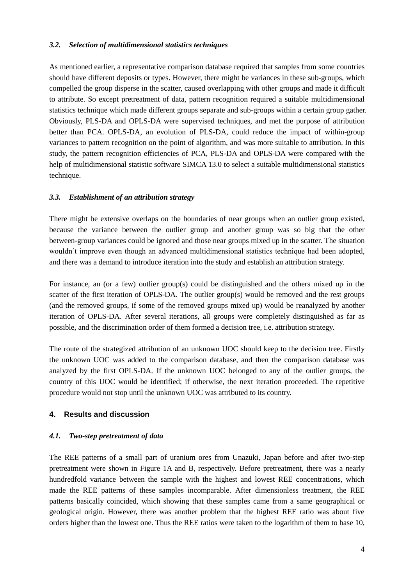## *3.2. Selection of multidimensional statistics techniques*

As mentioned earlier, a representative comparison database required that samples from some countries should have different deposits or types. However, there might be variances in these sub-groups, which compelled the group disperse in the scatter, caused overlapping with other groups and made it difficult to attribute. So except pretreatment of data, pattern recognition required a suitable multidimensional statistics technique which made different groups separate and sub-groups within a certain group gather. Obviously, PLS-DA and OPLS-DA were supervised techniques, and met the purpose of attribution better than PCA. OPLS-DA, an evolution of PLS-DA, could reduce the impact of within-group variances to pattern recognition on the point of algorithm, and was more suitable to attribution. In this study, the pattern recognition efficiencies of PCA, PLS-DA and OPLS-DA were compared with the help of multidimensional statistic software SIMCA 13.0 to select a suitable multidimensional statistics technique.

## *3.3. Establishment of an attribution strategy*

There might be extensive overlaps on the boundaries of near groups when an outlier group existed, because the variance between the outlier group and another group was so big that the other between-group variances could be ignored and those near groups mixed up in the scatter. The situation wouldn't improve even though an advanced multidimensional statistics technique had been adopted, and there was a demand to introduce iteration into the study and establish an attribution strategy.

For instance, an (or a few) outlier group(s) could be distinguished and the others mixed up in the scatter of the first iteration of OPLS-DA. The outlier group(s) would be removed and the rest groups (and the removed groups, if some of the removed groups mixed up) would be reanalyzed by another iteration of OPLS-DA. After several iterations, all groups were completely distinguished as far as possible, and the discrimination order of them formed a decision tree, i.e. attribution strategy.

The route of the strategized attribution of an unknown UOC should keep to the decision tree. Firstly the unknown UOC was added to the comparison database, and then the comparison database was analyzed by the first OPLS-DA. If the unknown UOC belonged to any of the outlier groups, the country of this UOC would be identified; if otherwise, the next iteration proceeded. The repetitive procedure would not stop until the unknown UOC was attributed to its country.

# **4. Results and discussion**

# *4.1. Two-step pretreatment of data*

The REE patterns of a small part of uranium ores from Unazuki, Japan before and after two-step pretreatment were shown in Figure 1A and B, respectively. Before pretreatment, there was a nearly hundredfold variance between the sample with the highest and lowest REE concentrations, which made the REE patterns of these samples incomparable. After dimensionless treatment, the REE patterns basically coincided, which showing that these samples came from a same geographical or geological origin. However, there was another problem that the highest REE ratio was about five orders higher than the lowest one. Thus the REE ratios were taken to the logarithm of them to base 10,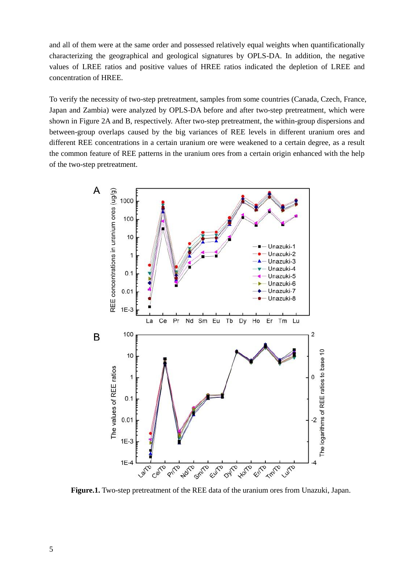and all of them were at the same order and possessed relatively equal weights when quantificationally characterizing the geographical and geological signatures by OPLS-DA. In addition, the negative values of LREE ratios and positive values of HREE ratios indicated the depletion of LREE and concentration of HREE.

To verify the necessity of two-step pretreatment, samples from some countries (Canada, Czech, France, Japan and Zambia) were analyzed by OPLS-DA before and after two-step pretreatment, which were shown in Figure 2A and B, respectively. After two-step pretreatment, the within-group dispersions and between-group overlaps caused by the big variances of REE levels in different uranium ores and different REE concentrations in a certain uranium ore were weakened to a certain degree, as a result the common feature of REE patterns in the uranium ores from a certain origin enhanced with the help of the two-step pretreatment.



**Figure.1.** Two-step pretreatment of the REE data of the uranium ores from Unazuki, Japan.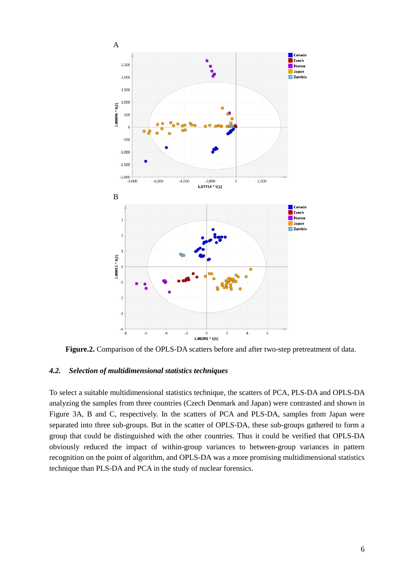

**Figure.2.** Comparison of the OPLS-DA scatters before and after two-step pretreatment of data.

### *4.2. Selection of multidimensional statistics techniques*

To select a suitable multidimensional statistics technique, the scatters of PCA, PLS-DA and OPLS-DA analyzing the samples from three countries (Czech Denmark and Japan) were contrasted and shown in Figure 3A, B and C, respectively. In the scatters of PCA and PLS-DA, samples from Japan were separated into three sub-groups. But in the scatter of OPLS-DA, these sub-groups gathered to form a group that could be distinguished with the other countries. Thus it could be verified that OPLS-DA obviously reduced the impact of within-group variances to between-group variances in pattern recognition on the point of algorithm, and OPLS-DA was a more promising multidimensional statistics technique than PLS-DA and PCA in the study of nuclear forensics.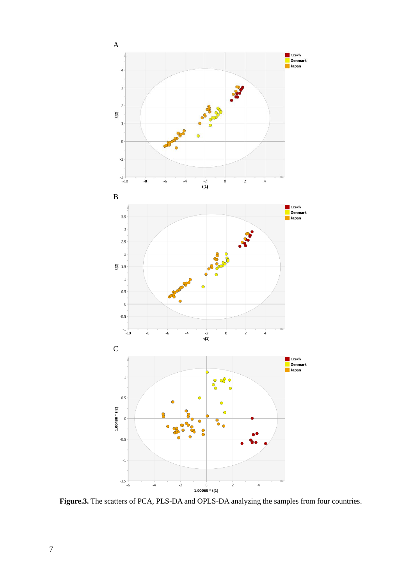

**Figure.3.** The scatters of PCA, PLS-DA and OPLS-DA analyzing the samples from four countries.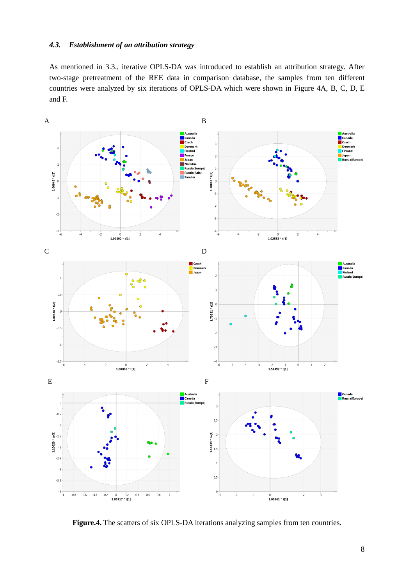#### *4.3. Establishment of an attribution strategy*

As mentioned in 3.3., iterative OPLS-DA was introduced to establish an attribution strategy. After two-stage pretreatment of the REE data in comparison database, the samples from ten different countries were analyzed by six iterations of OPLS-DA which were shown in Figure 4A, B, C, D, E and F.



Figure.4. The scatters of six OPLS-DA iterations analyzing samples from ten countries.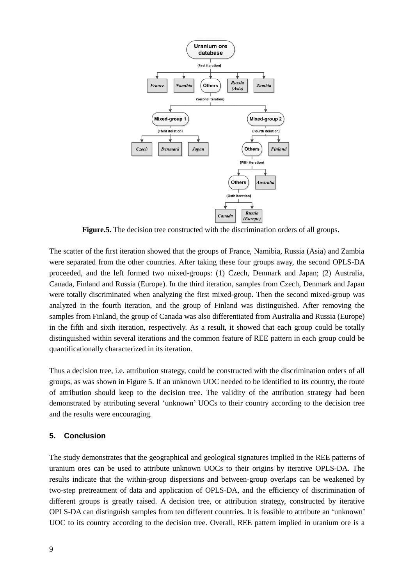

**Figure.5.** The decision tree constructed with the discrimination orders of all groups.

The scatter of the first iteration showed that the groups of France, Namibia, Russia (Asia) and Zambia were separated from the other countries. After taking these four groups away, the second OPLS-DA proceeded, and the left formed two mixed-groups: (1) Czech, Denmark and Japan; (2) Australia, Canada, Finland and Russia (Europe). In the third iteration, samples from Czech, Denmark and Japan were totally discriminated when analyzing the first mixed-group. Then the second mixed-group was analyzed in the fourth iteration, and the group of Finland was distinguished. After removing the samples from Finland, the group of Canada was also differentiated from Australia and Russia (Europe) in the fifth and sixth iteration, respectively. As a result, it showed that each group could be totally distinguished within several iterations and the common feature of REE pattern in each group could be quantificationally characterized in its iteration.

Thus a decision tree, i.e. attribution strategy, could be constructed with the discrimination orders of all groups, as was shown in Figure 5. If an unknown UOC needed to be identified to its country, the route of attribution should keep to the decision tree. The validity of the attribution strategy had been demonstrated by attributing several 'unknown' UOCs to their country according to the decision tree and the results were encouraging.

#### **5. Conclusion**

The study demonstrates that the geographical and geological signatures implied in the REE patterns of uranium ores can be used to attribute unknown UOCs to their origins by iterative OPLS-DA. The results indicate that the within-group dispersions and between-group overlaps can be weakened by two-step pretreatment of data and application of OPLS-DA, and the efficiency of discrimination of different groups is greatly raised. A decision tree, or attribution strategy, constructed by iterative OPLS-DA can distinguish samples from ten different countries. It is feasible to attribute an 'unknown' UOC to its country according to the decision tree. Overall, REE pattern implied in uranium ore is a